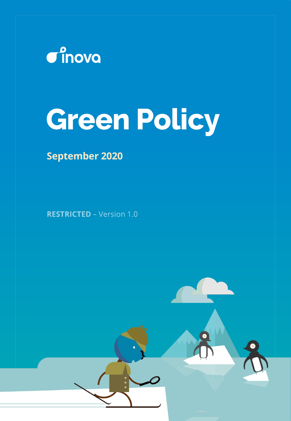

# **Green Policy**

## **September 2020**

**RESTRICTED - Version 1.0**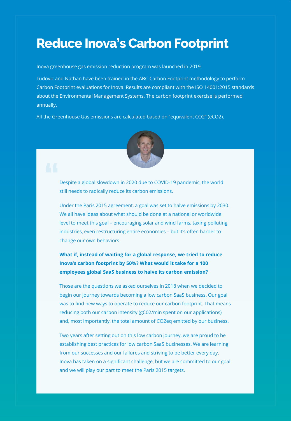## **Reduce Inova's Carbon Footprint**

Inova greenhouse gas emission reduction program was launched in 2019.

Ludovic and Nathan have been trained in the ABC Carbon Footprint methodology to perform Carbon Footprint evaluations for Inova. Results are compliant with the ISO 14001:2015 standards about the Environmental Management Systems. The carbon footprint exercise is performed annually.

All the Greenhouse Gas emissions are calculated based on "equivalent CO2" (eCO2).



Despite a global slowdown in 2020 due to COVID-19 pandemic, the world still needs to radically reduce its carbon emissions.

Under the Paris 2015 agreement, a goal was set to halve emissions by 2030. We all have ideas about what should be done at a national or worldwide level to meet this goal – encouraging solar and wind farms, taxing polluting industries, even restructuring entire economies – but it's often harder to change our own behaviors.

### **What if, instead of waiting for a global response, we tried to reduce Inova's carbon footprint by 50%? What would it take for a 100 employees global SaaS business to halve its carbon emission?**

Those are the questions we asked ourselves in 2018 when we decided to begin our journey towards becoming a low carbon SaaS business. Our goal was to find new ways to operate to reduce our carbon footprint. That means reducing both our carbon intensity (gC02/min spent on our applications) and, most importantly, the total amount of CO2eq emitted by our business.

Two years after setting out on this low carbon journey, we are proud to be establishing best practices for low carbon SaaS businesses. We are learning from our successes and our failures and striving to be better every day. Inova has taken on a significant challenge, but we are committed to our goal and we will play our part to meet the Paris 2015 targets.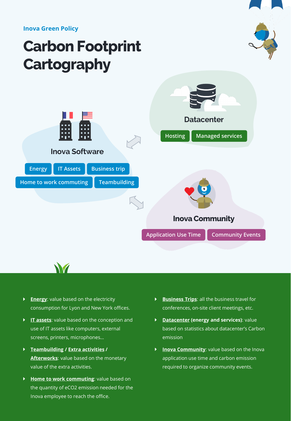**Inova Green Policy**

# **Carbon Footprint Cartography**





**Energy:** value based on the electricity consumption for Lyon and New York offices.

M

- **IT assets**: value based on the conception and use of IT assets like computers, external screens, printers, microphones…
- **Teambuilding / Extra activities / Afterworks**: value based on the monetary value of the extra activities.
- **Home to work commuting**: value based on the quantity of eCO2 emission needed for the Inova employee to reach the office.
- **Business Trips**: all the business travel for conferences, on-site client meetings, etc.
- **Datacenter (energy and services)**: value  $\blacktriangleright$  . based on statistics about datacenter's Carbon emission
- **Inova Community:** value based on the Inova application use time and carbon emission required to organize community events.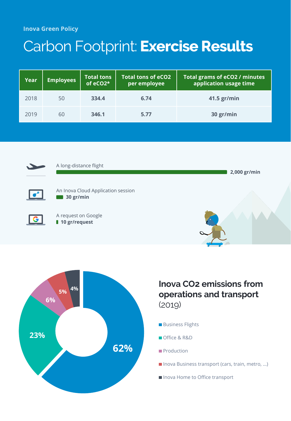# Carbon Footprint: **Exercise Results**

| Year | <b>Employees</b> | <b>Total tons</b><br>of eCO2* | <b>Total tons of eCO2</b><br>per employee | Total grams of eCO2 / minutes<br>application usage time |
|------|------------------|-------------------------------|-------------------------------------------|---------------------------------------------------------|
| 2018 | 50               | 334.4                         | 6.74                                      | $41.5$ gr/min                                           |
| 2019 | 60               | 346.1                         | 5.77                                      | 30 gr/min                                               |





### **Inova CO2 emissions from operations and transport** (2019)

- **Business Flights**
- Office & R&D
- **Production**
- Inova Business transport (cars, train, metro, ...)
- Inova Home to Office transport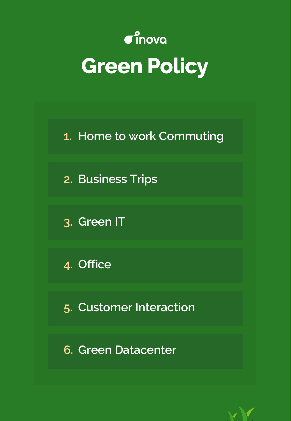# $\mathbf{C}^{\circ}$ inova **Green Policy**

**1. Home to work Commuting**

**2. Business Trips**

**3. Green IT**

**4. Office**

**5. Customer Interaction**

**6. Green Datacenter**

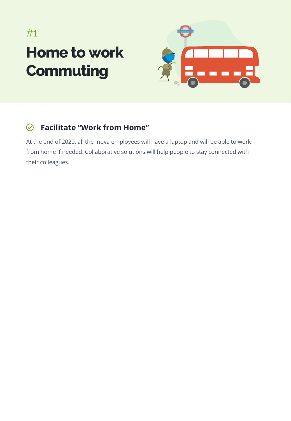# **Home to work Commuting** #1



#### **Facilitate "Work from Home"**  $\odot$

At the end of 2020, all the Inova employees will have a laptop and will be able to work from home if needed. Collaborative solutions will help people to stay connected with their colleagues.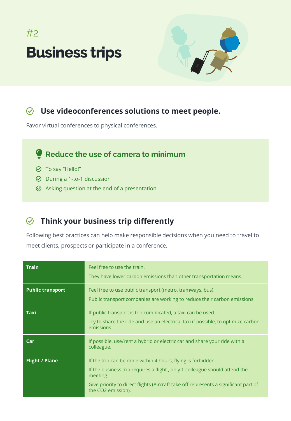# **Business trips**  $#2$



### **Use videoconferences solutions to meet people.**

Favor virtual conferences to physical conferences.

### **Reduce the use of camera to minimum**

- To say "Hello!"
- $\odot$  During a 1-to-1 discussion
- $\odot$  Asking question at the end of a presentation

### **Think your business trip differently**

Following best practices can help make responsible decisions when you need to travel to meet clients, prospects or participate in a conference.

| <b>Train</b>            | Feel free to use the train.<br>They have lower carbon emissions than other transportation means.                                                                                                                                                                    |  |
|-------------------------|---------------------------------------------------------------------------------------------------------------------------------------------------------------------------------------------------------------------------------------------------------------------|--|
| <b>Public transport</b> | Feel free to use public transport (metro, tramways, bus).<br>Public transport companies are working to reduce their carbon emissions.                                                                                                                               |  |
| Taxi                    | If public transport is too complicated, a taxi can be used.<br>Try to share the ride and use an electrical taxi if possible, to optimize carbon<br>emissions.                                                                                                       |  |
| Car                     | If possible, use/rent a hybrid or electric car and share your ride with a<br>colleague.                                                                                                                                                                             |  |
| <b>Flight / Plane</b>   | If the trip can be done within 4 hours, flying is forbidden.<br>If the business trip requires a flight, only 1 colleague should attend the<br>meeting.<br>Give priority to direct flights (Aircraft take off represents a significant part of<br>the CO2 emission). |  |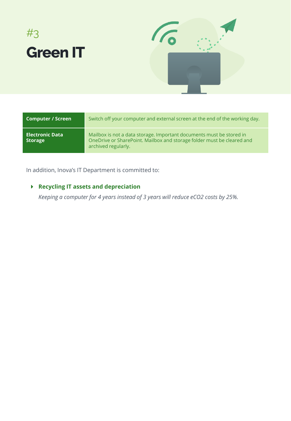



| <b>Computer / Screen</b>                 | Switch off your computer and external screen at the end of the working day.                                                                                           |
|------------------------------------------|-----------------------------------------------------------------------------------------------------------------------------------------------------------------------|
| <b>Electronic Data</b><br><b>Storage</b> | Mailbox is not a data storage. Important documents must be stored in<br>OneDrive or SharePoint. Mailbox and storage folder must be cleared and<br>archived regularly. |

In addition, Inova's IT Department is committed to:

### **Recycling IT assets and depreciation**

*Keeping a computer for 4 years instead of 3 years will reduce eCO2 costs by 25%.*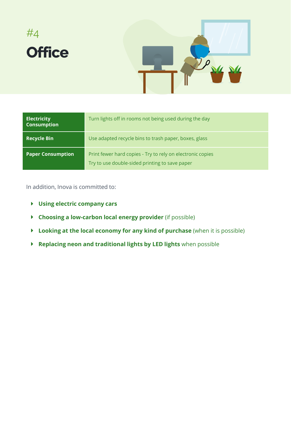

| <b>Electricity</b><br><b>Consumption</b> | Turn lights off in rooms not being used during the day                                                       |
|------------------------------------------|--------------------------------------------------------------------------------------------------------------|
| <b>Recycle Bin</b>                       | Use adapted recycle bins to trash paper, boxes, glass                                                        |
| <b>Paper Consumption</b>                 | Print fewer hard copies - Try to rely on electronic copies<br>Try to use double-sided printing to save paper |

In addition, Inova is committed to:

- **Using electric company cars**
- **Choosing a low-carbon local energy provider** (if possible)
- **Looking at the local economy for any kind of purchase** (when it is possible)
- **Replacing neon and traditional lights by LED lights** when possible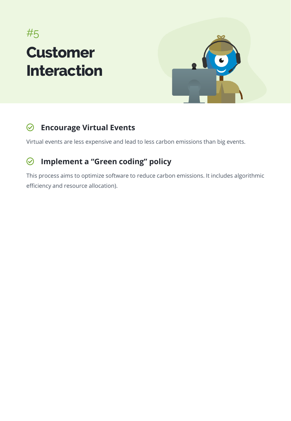# **Customer Interaction** #5



#### **Encourage Virtual Events**  $\odot$

Virtual events are less expensive and lead to less carbon emissions than big events.

#### $\odot$ **Implement a "Green coding" policy**

This process aims to optimize software to reduce carbon emissions. It includes algorithmic efficiency and resource allocation).